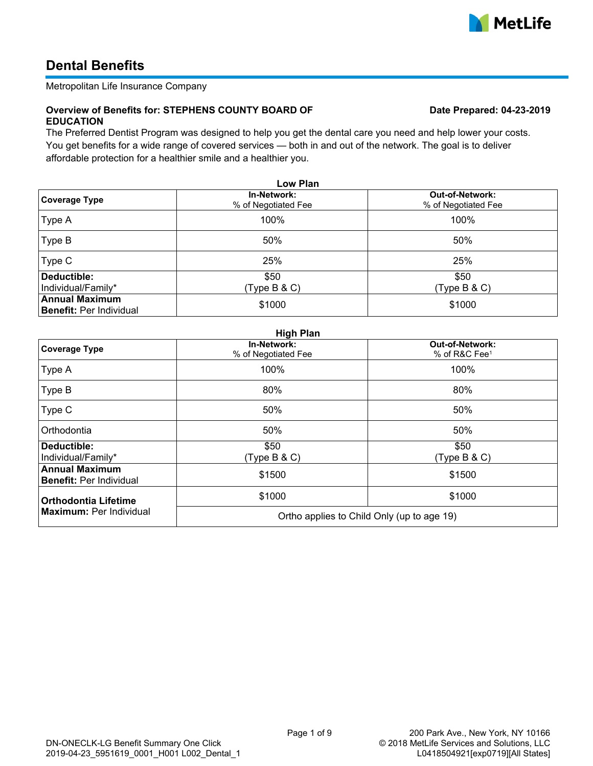

# **Dental Benefits**

Metropolitan Life Insurance Company

#### **Overview of Benefits for: STEPHENS COUNTY BOARD OF EDUCATION**

The Preferred Dentist Program was designed to help you get the dental care you need and help lower your costs. You get benefits for a wide range of covered services — both in and out of the network. The goal is to deliver affordable protection for a healthier smile and a healthier you.

| Low Plan                                                   |                                    |                                               |  |  |  |  |
|------------------------------------------------------------|------------------------------------|-----------------------------------------------|--|--|--|--|
| Coverage Type                                              | In-Network:<br>% of Negotiated Fee | <b>Out-of-Network:</b><br>% of Negotiated Fee |  |  |  |  |
| Type A                                                     | 100%                               | 100%                                          |  |  |  |  |
| Type B                                                     | 50%                                | 50%                                           |  |  |  |  |
| Type C                                                     | 25%                                | 25%                                           |  |  |  |  |
| Deductible:<br>\$50<br>Individual/Family*<br>(Type B & C)  |                                    | \$50<br>(Type B & C)                          |  |  |  |  |
| <b>Annual Maximum</b><br>\$1000<br>Benefit: Per Individual |                                    | \$1000                                        |  |  |  |  |

### **High Plan**

| <b>Coverage Type</b>                                      | In-Network:<br>% of Negotiated Fee         | <b>Out-of-Network:</b><br>% of R&C Fee <sup>1</sup> |  |
|-----------------------------------------------------------|--------------------------------------------|-----------------------------------------------------|--|
| Type A                                                    | 100%                                       | 100%                                                |  |
| Type B                                                    | 80%                                        | 80%                                                 |  |
| Type C                                                    | 50%                                        | 50%                                                 |  |
| Orthodontia                                               | 50%                                        | 50%                                                 |  |
| Deductible:<br>\$50<br>Individual/Family*<br>(Type B & C) |                                            | \$50<br>(Type B & C)                                |  |
| <b>Annual Maximum</b><br><b>Benefit: Per Individual</b>   | \$1500                                     | \$1500                                              |  |
| <b>Orthodontia Lifetime</b>                               | \$1000                                     | \$1000                                              |  |
| <b>Maximum: Per Individual</b>                            | Ortho applies to Child Only (up to age 19) |                                                     |  |

# **Date Prepared: 04-23-2019**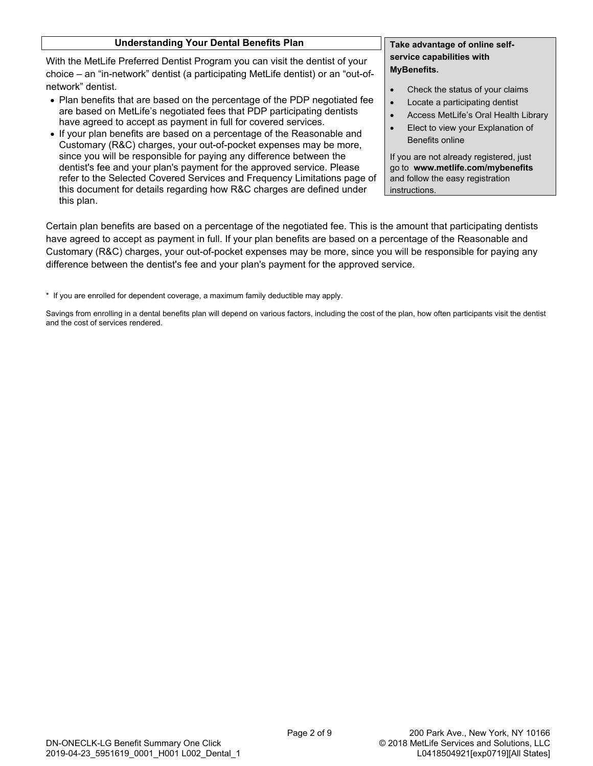| <b>Understanding Your Dental Benefits Plan</b>                                                                                                                                                                                                                                                    | Take advantage of online self-              |  |
|---------------------------------------------------------------------------------------------------------------------------------------------------------------------------------------------------------------------------------------------------------------------------------------------------|---------------------------------------------|--|
| With the MetLife Preferred Dentist Program you can visit the dentist of your<br>choice - an "in-network" dentist (a participating MetLife dentist) or an "out-of-                                                                                                                                 | service capabilities with<br>MyBenefits.    |  |
| network" dentist.                                                                                                                                                                                                                                                                                 | Check the status of your claims             |  |
| • Plan benefits that are based on the percentage of the PDP negotiated fee<br>are based on MetLife's negotiated fees that PDP participating dentists<br>have agreed to accept as payment in full for covered services.<br>• If your plan benefits are based on a percentage of the Reasonable and | Locate a participating dentist<br>$\bullet$ |  |
|                                                                                                                                                                                                                                                                                                   | Access MetLife's Oral Health Library        |  |
|                                                                                                                                                                                                                                                                                                   | Elect to view your Explanation of           |  |
| Customary (R&C) charges, your out-of-pocket expenses may be more,                                                                                                                                                                                                                                 | Benefits online                             |  |
| since you will be responsible for paying any difference between the                                                                                                                                                                                                                               | If you are not already registered, just     |  |
| dentist's fee and your plan's payment for the approved service. Please                                                                                                                                                                                                                            | go to www.metlife.com/mybenefits            |  |
| refer to the Selected Covered Services and Frequency Limitations page of                                                                                                                                                                                                                          | and follow the easy registration            |  |
| this document for details regarding how R&C charges are defined under                                                                                                                                                                                                                             | instructions.                               |  |

Certain plan benefits are based on a percentage of the negotiated fee. This is the amount that participating dentists have agreed to accept as payment in full. If your plan benefits are based on a percentage of the Reasonable and Customary (R&C) charges, your out-of-pocket expenses may be more, since you will be responsible for paying any difference between the dentist's fee and your plan's payment for the approved service.

\* If you are enrolled for dependent coverage, a maximum family deductible may apply.

this plan.

Savings from enrolling in a dental benefits plan will depend on various factors, including the cost of the plan, how often participants visit the dentist and the cost of services rendered.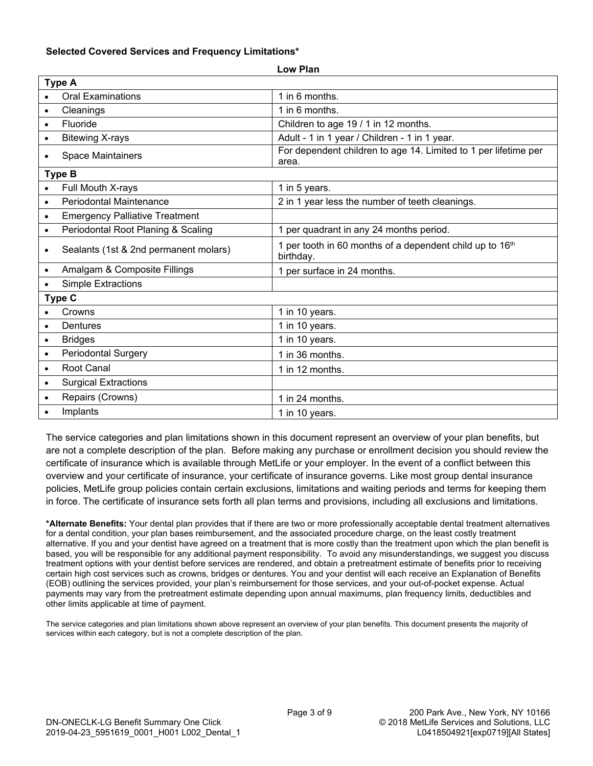# **Selected Covered Services and Frequency Limitations\***

| <b>Type A</b> |                                       |                                                                          |  |  |
|---------------|---------------------------------------|--------------------------------------------------------------------------|--|--|
|               | <b>Oral Examinations</b>              | 1 in 6 months.                                                           |  |  |
| $\bullet$     | Cleanings                             | 1 in 6 months.                                                           |  |  |
|               | Fluoride                              | Children to age 19 / 1 in 12 months.                                     |  |  |
|               | <b>Bitewing X-rays</b>                | Adult - 1 in 1 year / Children - 1 in 1 year.                            |  |  |
|               | <b>Space Maintainers</b>              | For dependent children to age 14. Limited to 1 per lifetime per<br>area. |  |  |
| <b>Type B</b> |                                       |                                                                          |  |  |
|               | Full Mouth X-rays                     | 1 in 5 years.                                                            |  |  |
|               | <b>Periodontal Maintenance</b>        | 2 in 1 year less the number of teeth cleanings.                          |  |  |
|               | <b>Emergency Palliative Treatment</b> |                                                                          |  |  |
| $\bullet$     | Periodontal Root Planing & Scaling    | 1 per quadrant in any 24 months period.                                  |  |  |
|               | Sealants (1st & 2nd permanent molars) | 1 per tooth in 60 months of a dependent child up to 16th<br>birthday.    |  |  |
|               | Amalgam & Composite Fillings          | 1 per surface in 24 months.                                              |  |  |
|               | <b>Simple Extractions</b>             |                                                                          |  |  |
| Type C        |                                       |                                                                          |  |  |
|               | Crowns                                | 1 in 10 years.                                                           |  |  |
|               | Dentures                              | 1 in 10 years.                                                           |  |  |
|               | <b>Bridges</b>                        | 1 in 10 years.                                                           |  |  |
|               | <b>Periodontal Surgery</b>            | 1 in 36 months.                                                          |  |  |
| $\bullet$     | Root Canal                            | 1 in 12 months.                                                          |  |  |
|               | <b>Surgical Extractions</b>           |                                                                          |  |  |
|               | Repairs (Crowns)                      | 1 in 24 months.                                                          |  |  |
|               | Implants                              | 1 in 10 years.                                                           |  |  |

**Low Plan**

The service categories and plan limitations shown in this document represent an overview of your plan benefits, but are not a complete description of the plan. Before making any purchase or enrollment decision you should review the certificate of insurance which is available through MetLife or your employer. In the event of a conflict between this overview and your certificate of insurance, your certificate of insurance governs. Like most group dental insurance policies, MetLife group policies contain certain exclusions, limitations and waiting periods and terms for keeping them in force. The certificate of insurance sets forth all plan terms and provisions, including all exclusions and limitations.

**\*Alternate Benefits:** Your dental plan provides that if there are two or more professionally acceptable dental treatment alternatives for a dental condition, your plan bases reimbursement, and the associated procedure charge, on the least costly treatment alternative. If you and your dentist have agreed on a treatment that is more costly than the treatment upon which the plan benefit is based, you will be responsible for any additional payment responsibility. To avoid any misunderstandings, we suggest you discuss treatment options with your dentist before services are rendered, and obtain a pretreatment estimate of benefits prior to receiving certain high cost services such as crowns, bridges or dentures. You and your dentist will each receive an Explanation of Benefits (EOB) outlining the services provided, your plan's reimbursement for those services, and your out-of-pocket expense. Actual payments may vary from the pretreatment estimate depending upon annual maximums, plan frequency limits, deductibles and other limits applicable at time of payment.

The service categories and plan limitations shown above represent an overview of your plan benefits. This document presents the majority of services within each category, but is not a complete description of the plan.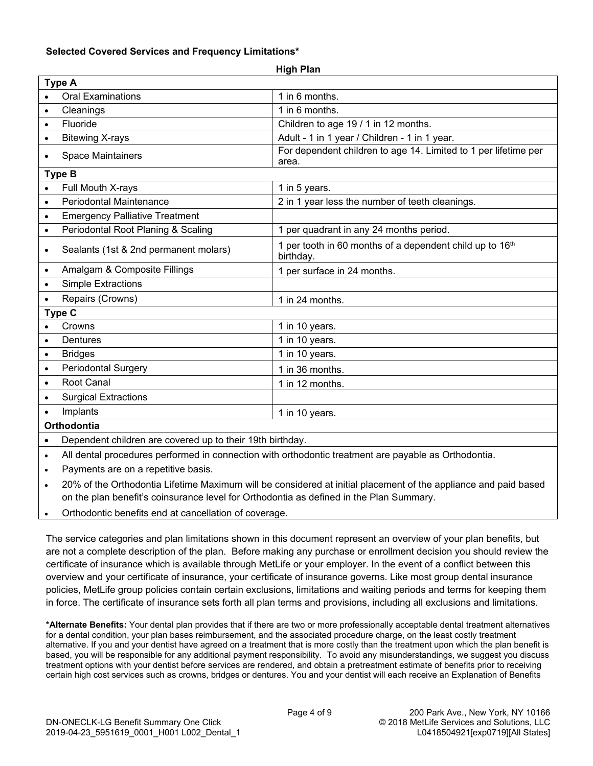# **Selected Covered Services and Frequency Limitations\***

|                    |                                                                                                      | .                                                                        |  |  |
|--------------------|------------------------------------------------------------------------------------------------------|--------------------------------------------------------------------------|--|--|
| <b>Type A</b>      |                                                                                                      |                                                                          |  |  |
|                    | <b>Oral Examinations</b>                                                                             | 1 in 6 months.                                                           |  |  |
| $\bullet$          | Cleanings                                                                                            | 1 in 6 months.                                                           |  |  |
| $\bullet$          | Fluoride                                                                                             | Children to age 19 / 1 in 12 months.                                     |  |  |
| $\bullet$          | <b>Bitewing X-rays</b>                                                                               | Adult - 1 in 1 year / Children - 1 in 1 year.                            |  |  |
| $\bullet$          | <b>Space Maintainers</b>                                                                             | For dependent children to age 14. Limited to 1 per lifetime per<br>area. |  |  |
| <b>Type B</b>      |                                                                                                      |                                                                          |  |  |
|                    | Full Mouth X-rays                                                                                    | 1 in 5 years.                                                            |  |  |
| $\bullet$          | Periodontal Maintenance                                                                              | 2 in 1 year less the number of teeth cleanings.                          |  |  |
| $\bullet$          | <b>Emergency Palliative Treatment</b>                                                                |                                                                          |  |  |
| $\bullet$          | Periodontal Root Planing & Scaling                                                                   | 1 per quadrant in any 24 months period.                                  |  |  |
| $\bullet$          | Sealants (1st & 2nd permanent molars)                                                                | 1 per tooth in 60 months of a dependent child up to 16th<br>birthday.    |  |  |
| $\bullet$          | Amalgam & Composite Fillings                                                                         | 1 per surface in 24 months.                                              |  |  |
| $\bullet$          | <b>Simple Extractions</b>                                                                            |                                                                          |  |  |
|                    | Repairs (Crowns)                                                                                     | 1 in 24 months.                                                          |  |  |
| Type C             |                                                                                                      |                                                                          |  |  |
|                    | Crowns                                                                                               | 1 in 10 years.                                                           |  |  |
| $\bullet$          | Dentures                                                                                             | 1 in 10 years.                                                           |  |  |
| $\bullet$          | <b>Bridges</b>                                                                                       | 1 in 10 years.                                                           |  |  |
| $\bullet$          | <b>Periodontal Surgery</b>                                                                           | 1 in 36 months.                                                          |  |  |
| $\bullet$          | Root Canal                                                                                           | 1 in 12 months.                                                          |  |  |
| $\bullet$          | <b>Surgical Extractions</b>                                                                          |                                                                          |  |  |
|                    | Implants                                                                                             | 1 in 10 years.                                                           |  |  |
| <b>Orthodontia</b> |                                                                                                      |                                                                          |  |  |
|                    | Dependent children are covered up to their 19th birthday.                                            |                                                                          |  |  |
| $\bullet$          | All dental procedures performed in connection with orthodontic treatment are payable as Orthodontia. |                                                                          |  |  |

**High Plan**

Payments are on a repetitive basis.

· 20% of the Orthodontia Lifetime Maximum will be considered at initial placement of the appliance and paid based on the plan benefit's coinsurance level for Orthodontia as defined in the Plan Summary.

· Orthodontic benefits end at cancellation of coverage.

The service categories and plan limitations shown in this document represent an overview of your plan benefits, but are not a complete description of the plan. Before making any purchase or enrollment decision you should review the certificate of insurance which is available through MetLife or your employer. In the event of a conflict between this overview and your certificate of insurance, your certificate of insurance governs. Like most group dental insurance policies, MetLife group policies contain certain exclusions, limitations and waiting periods and terms for keeping them in force. The certificate of insurance sets forth all plan terms and provisions, including all exclusions and limitations.

**\*Alternate Benefits:** Your dental plan provides that if there are two or more professionally acceptable dental treatment alternatives for a dental condition, your plan bases reimbursement, and the associated procedure charge, on the least costly treatment alternative. If you and your dentist have agreed on a treatment that is more costly than the treatment upon which the plan benefit is based, you will be responsible for any additional payment responsibility. To avoid any misunderstandings, we suggest you discuss treatment options with your dentist before services are rendered, and obtain a pretreatment estimate of benefits prior to receiving certain high cost services such as crowns, bridges or dentures. You and your dentist will each receive an Explanation of Benefits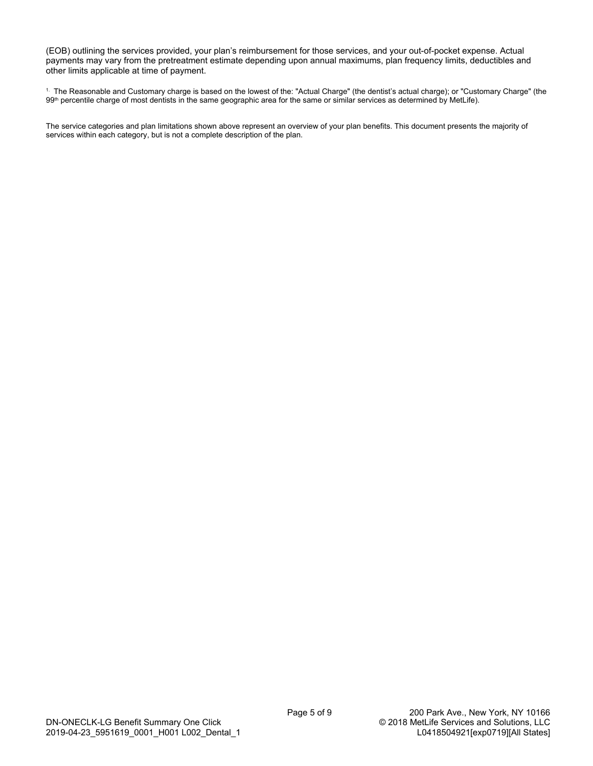(EOB) outlining the services provided, your plan's reimbursement for those services, and your out-of-pocket expense. Actual payments may vary from the pretreatment estimate depending upon annual maximums, plan frequency limits, deductibles and other limits applicable at time of payment.

1. The Reasonable and Customary charge is based on the lowest of the: "Actual Charge" (the dentist's actual charge); or "Customary Charge" (the 99<sup>th</sup> percentile charge of most dentists in the same geographic area for the same or similar services as determined by MetLife).

The service categories and plan limitations shown above represent an overview of your plan benefits. This document presents the majority of services within each category, but is not a complete description of the plan.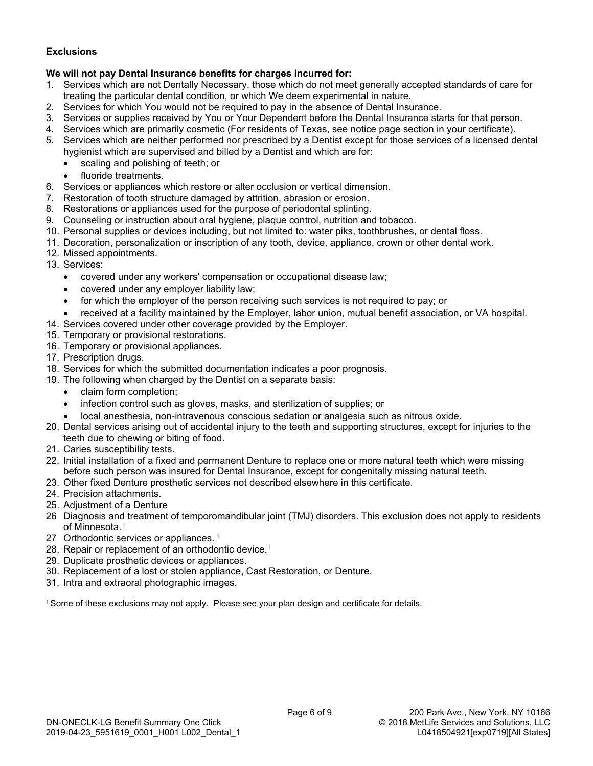# **Exclusions**

# **We will not pay Dental Insurance benefits for charges incurred for:**

- 1. Services which are not Dentally Necessary, those which do not meet generally accepted standards of care for treating the particular dental condition, or which We deem experimental in nature.
- 2. Services for which You would not be required to pay in the absence of Dental Insurance.
- 3. Services or supplies received by You or Your Dependent before the Dental Insurance starts for that person.
- 4. Services which are primarily cosmetic (For residents of Texas, see notice page section in your certificate).
- 5. Services which are neither performed nor prescribed by a Dentist except for those services of a licensed dental hygienist which are supervised and billed by a Dentist and which are for:
	- · scaling and polishing of teeth; or
	- fluoride treatments.
- 6. Services or appliances which restore or alter occlusion or vertical dimension.
- 7. Restoration of tooth structure damaged by attrition, abrasion or erosion.
- 8. Restorations or appliances used for the purpose of periodontal splinting.
- 9. Counseling or instruction about oral hygiene, plaque control, nutrition and tobacco.
- 10. Personal supplies or devices including, but not limited to: water piks, toothbrushes, or dental floss.
- 11. Decoration, personalization or inscription of any tooth, device, appliance, crown or other dental work.
- 12. Missed appointments.
- 13. Services:
	- · covered under any workers' compensation or occupational disease law;
	- · covered under any employer liability law;
	- for which the employer of the person receiving such services is not required to pay; or
	- received at a facility maintained by the Employer, labor union, mutual benefit association, or VA hospital.
- 14. Services covered under other coverage provided by the Employer.
- 15. Temporary or provisional restorations.
- 16. Temporary or provisional appliances.
- 17. Prescription drugs.
- 18. Services for which the submitted documentation indicates a poor prognosis.
- 19. The following when charged by the Dentist on a separate basis:
	- · claim form completion;
	- infection control such as gloves, masks, and sterilization of supplies; or
	- · local anesthesia, non-intravenous conscious sedation or analgesia such as nitrous oxide.
- 20. Dental services arising out of accidental injury to the teeth and supporting structures, except for injuries to the teeth due to chewing or biting of food.
- 21. Caries susceptibility tests.
- 22. Initial installation of a fixed and permanent Denture to replace one or more natural teeth which were missing before such person was insured for Dental Insurance, except for congenitally missing natural teeth.
- 23. Other fixed Denture prosthetic services not described elsewhere in this certificate.
- 24. Precision attachments.
- 25. Adjustment of a Denture
- 26 Diagnosis and treatment of temporomandibular joint (TMJ) disorders. This exclusion does not apply to residents of Minnesota.<sup>1</sup>
- 27 Orthodontic services or appliances.<sup>1</sup>
- 28. Repair or replacement of an orthodontic device.<sup>1</sup>
- 29. Duplicate prosthetic devices or appliances.
- 30. Replacement of a lost or stolen appliance, Cast Restoration, or Denture.
- 31. Intra and extraoral photographic images.

<sup>1</sup>Some of these exclusions may not apply. Please see your plan design and certificate for details.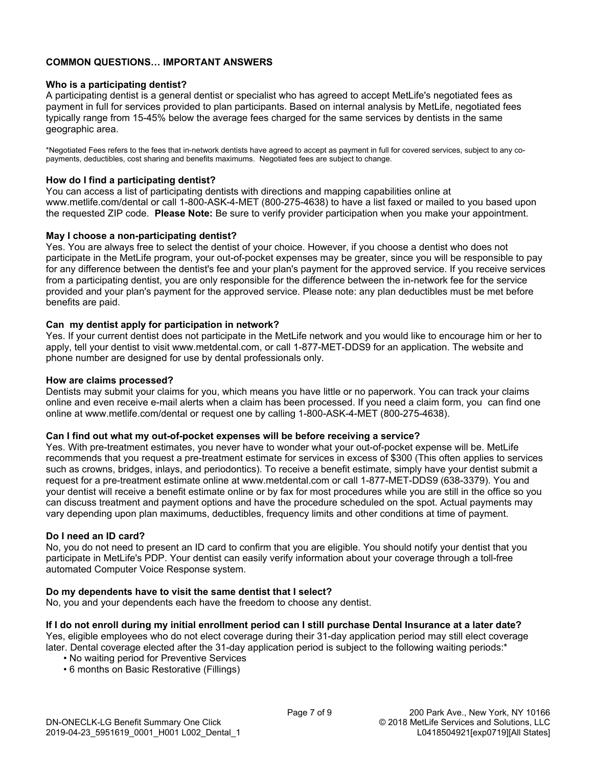# **COMMON QUESTIONS… IMPORTANT ANSWERS**

# **Who is a participating dentist?**

A participating dentist is a general dentist or specialist who has agreed to accept MetLife's negotiated fees as payment in full for services provided to plan participants. Based on internal analysis by MetLife, negotiated fees typically range from 15-45% below the average fees charged for the same services by dentists in the same geographic area.

\*Negotiated Fees refers to the fees that in-network dentists have agreed to accept as payment in full for covered services, subject to any copayments, deductibles, cost sharing and benefits maximums. Negotiated fees are subject to change.

# **How do I find a participating dentist?**

You can access a list of participating dentists with directions and mapping capabilities online at www.metlife.com/dental or call 1-800-ASK-4-MET (800-275-4638) to have a list faxed or mailed to you based upon the requested ZIP code. **Please Note:** Be sure to verify provider participation when you make your appointment.

# **May I choose a non-participating dentist?**

Yes. You are always free to select the dentist of your choice. However, if you choose a dentist who does not participate in the MetLife program, your out-of-pocket expenses may be greater, since you will be responsible to pay for any difference between the dentist's fee and your plan's payment for the approved service. If you receive services from a participating dentist, you are only responsible for the difference between the in-network fee for the service provided and your plan's payment for the approved service. Please note: any plan deductibles must be met before benefits are paid.

# **Can my dentist apply for participation in network?**

Yes. If your current dentist does not participate in the MetLife network and you would like to encourage him or her to apply, tell your dentist to visit www.metdental.com, or call 1-877-MET-DDS9 for an application. The website and phone number are designed for use by dental professionals only.

#### **How are claims processed?**

Dentists may submit your claims for you, which means you have little or no paperwork. You can track your claims online and even receive e-mail alerts when a claim has been processed. If you need a claim form, you can find one online at www.metlife.com/dental or request one by calling 1-800-ASK-4-MET (800-275-4638).

### **Can I find out what my out-of-pocket expenses will be before receiving a service?**

Yes. With pre-treatment estimates, you never have to wonder what your out-of-pocket expense will be. MetLife recommends that you request a pre-treatment estimate for services in excess of \$300 (This often applies to services such as crowns, bridges, inlays, and periodontics). To receive a benefit estimate, simply have your dentist submit a request for a pre-treatment estimate online at www.metdental.com or call 1-877-MET-DDS9 (638-3379). You and your dentist will receive a benefit estimate online or by fax for most procedures while you are still in the office so you can discuss treatment and payment options and have the procedure scheduled on the spot. Actual payments may vary depending upon plan maximums, deductibles, frequency limits and other conditions at time of payment.

### **Do I need an ID card?**

No, you do not need to present an ID card to confirm that you are eligible. You should notify your dentist that you participate in MetLife's PDP. Your dentist can easily verify information about your coverage through a toll-free automated Computer Voice Response system.

### **Do my dependents have to visit the same dentist that I select?**

No, you and your dependents each have the freedom to choose any dentist.

**If I do not enroll during my initial enrollment period can I still purchase Dental Insurance at a later date?** Yes, eligible employees who do not elect coverage during their 31-day application period may still elect coverage later. Dental coverage elected after the 31-day application period is subject to the following waiting periods:\*

- No waiting period for Preventive Services
- 6 months on Basic Restorative (Fillings)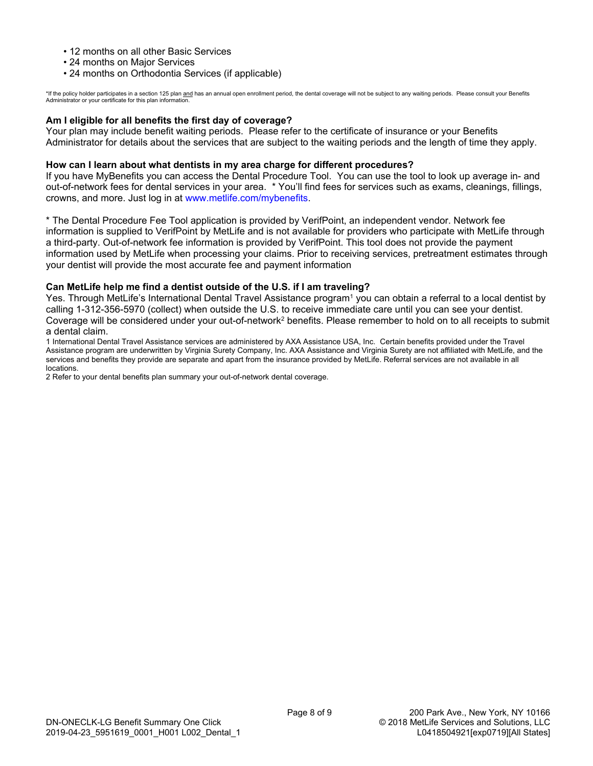- 12 months on all other Basic Services
- 24 months on Major Services
- 24 months on Orthodontia Services (if applicable)

\*If the policy holder participates in a section 125 plan <u>and</u> has an annual open enrollment period, the dental coverage will not be subject to any waiting periods. Please consult your Benefits<br>Administrator or your certif

# **Am I eligible for all benefits the first day of coverage?**

Your plan may include benefit waiting periods. Please refer to the certificate of insurance or your Benefits Administrator for details about the services that are subject to the waiting periods and the length of time they apply.

### **How can I learn about what dentists in my area charge for different procedures?**

If you have MyBenefits you can access the Dental Procedure Tool. You can use the tool to look up average in- and out-of-network fees for dental services in your area. \* You'll find fees for services such as exams, cleanings, fillings, crowns, and more. Just log in at [www.metlife.com/mybenefits](http://www.metlife.com/mybenefits).

\* The Dental Procedure Fee Tool application is provided by VerifPoint, an independent vendor. Network fee information is supplied to VerifPoint by MetLife and is not available for providers who participate with MetLife through a third-party. Out-of-network fee information is provided by VerifPoint. This tool does not provide the payment information used by MetLife when processing your claims. Prior to receiving services, pretreatment estimates through your dentist will provide the most accurate fee and payment information

### **Can MetLife help me find a dentist outside of the U.S. if I am traveling?**

Yes. Through MetLife's International Dental Travel Assistance program<sup>1</sup> you can obtain a referral to a local dentist by calling 1-312-356-5970 (collect) when outside the U.S. to receive immediate care until you can see your dentist. Coverage will be considered under your out-of-network<sup>2</sup> benefits. Please remember to hold on to all receipts to submit a dental claim.

1 International Dental Travel Assistance services are administered by AXA Assistance USA, Inc. Certain benefits provided under the Travel Assistance program are underwritten by Virginia Surety Company, Inc. AXA Assistance and Virginia Surety are not affiliated with MetLife, and the services and benefits they provide are separate and apart from the insurance provided by MetLife. Referral services are not available in all locations.

2 Refer to your dental benefits plan summary your out-of-network dental coverage.